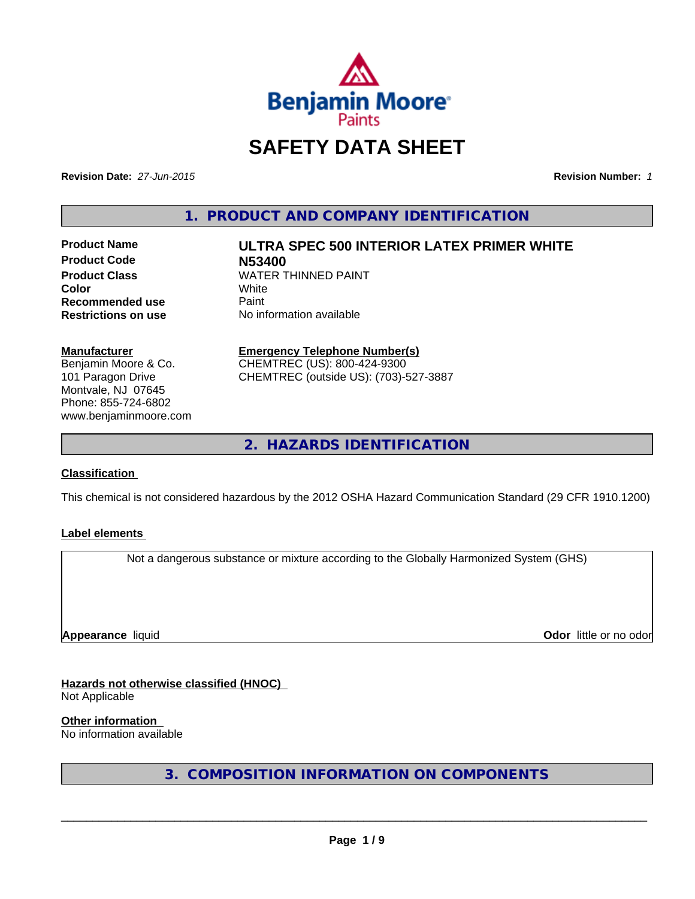

# **SAFETY DATA SHEET**

**Revision Date:** *27-Jun-2015* **Revision Number:** *1*

**1. PRODUCT AND COMPANY IDENTIFICATION**

**Product Code N53400 Recommended use** Paint

# **Product Name ULTRA SPEC 500 INTERIOR LATEX PRIMER WHITE**

**Product Class WATER THINNED PAINT Color** White White **Restrictions on use** No information available

#### **Manufacturer**

Benjamin Moore & Co. 101 Paragon Drive Montvale, NJ 07645 Phone: 855-724-6802 www.benjaminmoore.com

# **Emergency Telephone Number(s)**

CHEMTREC (US): 800-424-9300 CHEMTREC (outside US): (703)-527-3887

**2. HAZARDS IDENTIFICATION**

#### **Classification**

This chemical is not considered hazardous by the 2012 OSHA Hazard Communication Standard (29 CFR 1910.1200)

#### **Label elements**

Not a dangerous substance or mixture according to the Globally Harmonized System (GHS)

**Appearance** liquid **Contract Contract Contract Contract Contract Contract Contract Contract Contract Contract Contract Contract Contract Contract Contract Contract Contract Contract Contract Contract Contract Contract Con** 

# **Hazards not otherwise classified (HNOC)**

Not Applicable

**Other information** 

No information available

**3. COMPOSITION INFORMATION ON COMPONENTS**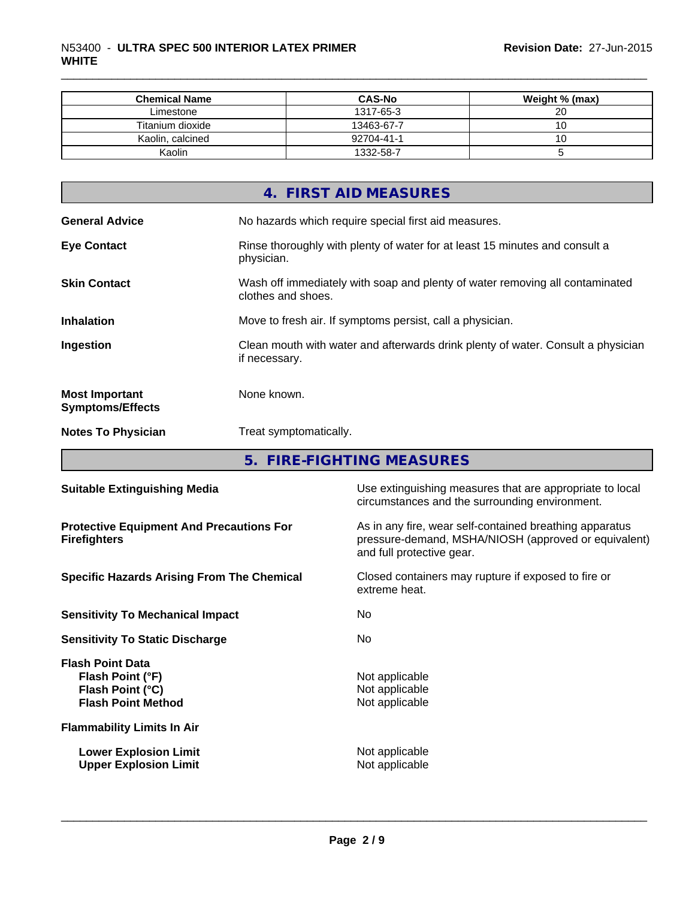| <b>Chemical Name</b> | <b>CAS-No</b> | Weight % (max) |
|----------------------|---------------|----------------|
| Limestone            | 1317-65-3     | 20             |
| Titanium dioxide     | 13463-67-7    |                |
| Kaolin, calcined     | 92704-41-1    | 10             |
| Kaolin               | 1332-58-7     |                |

\_\_\_\_\_\_\_\_\_\_\_\_\_\_\_\_\_\_\_\_\_\_\_\_\_\_\_\_\_\_\_\_\_\_\_\_\_\_\_\_\_\_\_\_\_\_\_\_\_\_\_\_\_\_\_\_\_\_\_\_\_\_\_\_\_\_\_\_\_\_\_\_\_\_\_\_\_\_\_\_\_\_\_\_\_\_\_\_\_\_\_\_\_

|                                                  | 4. FIRST AID MEASURES                                                                              |
|--------------------------------------------------|----------------------------------------------------------------------------------------------------|
| <b>General Advice</b>                            | No hazards which require special first aid measures.                                               |
| <b>Eye Contact</b>                               | Rinse thoroughly with plenty of water for at least 15 minutes and consult a<br>physician.          |
| <b>Skin Contact</b>                              | Wash off immediately with soap and plenty of water removing all contaminated<br>clothes and shoes. |
| <b>Inhalation</b>                                | Move to fresh air. If symptoms persist, call a physician.                                          |
| Ingestion                                        | Clean mouth with water and afterwards drink plenty of water. Consult a physician<br>if necessary.  |
| <b>Most Important</b><br><b>Symptoms/Effects</b> | None known.                                                                                        |
| <b>Notes To Physician</b>                        | Treat symptomatically.                                                                             |

**5. FIRE-FIGHTING MEASURES**

| <b>Suitable Extinguishing Media</b>                                                          | Use extinguishing measures that are appropriate to local<br>circumstances and the surrounding environment.                                   |  |  |
|----------------------------------------------------------------------------------------------|----------------------------------------------------------------------------------------------------------------------------------------------|--|--|
| <b>Protective Equipment And Precautions For</b><br><b>Firefighters</b>                       | As in any fire, wear self-contained breathing apparatus<br>pressure-demand, MSHA/NIOSH (approved or equivalent)<br>and full protective gear. |  |  |
| <b>Specific Hazards Arising From The Chemical</b>                                            | Closed containers may rupture if exposed to fire or<br>extreme heat.                                                                         |  |  |
| <b>Sensitivity To Mechanical Impact</b>                                                      | No.                                                                                                                                          |  |  |
| <b>Sensitivity To Static Discharge</b>                                                       | No.                                                                                                                                          |  |  |
| <b>Flash Point Data</b><br>Flash Point (°F)<br>Flash Point (°C)<br><b>Flash Point Method</b> | Not applicable<br>Not applicable<br>Not applicable                                                                                           |  |  |
| <b>Flammability Limits In Air</b>                                                            |                                                                                                                                              |  |  |
| <b>Lower Explosion Limit</b><br><b>Upper Explosion Limit</b>                                 | Not applicable<br>Not applicable                                                                                                             |  |  |
|                                                                                              |                                                                                                                                              |  |  |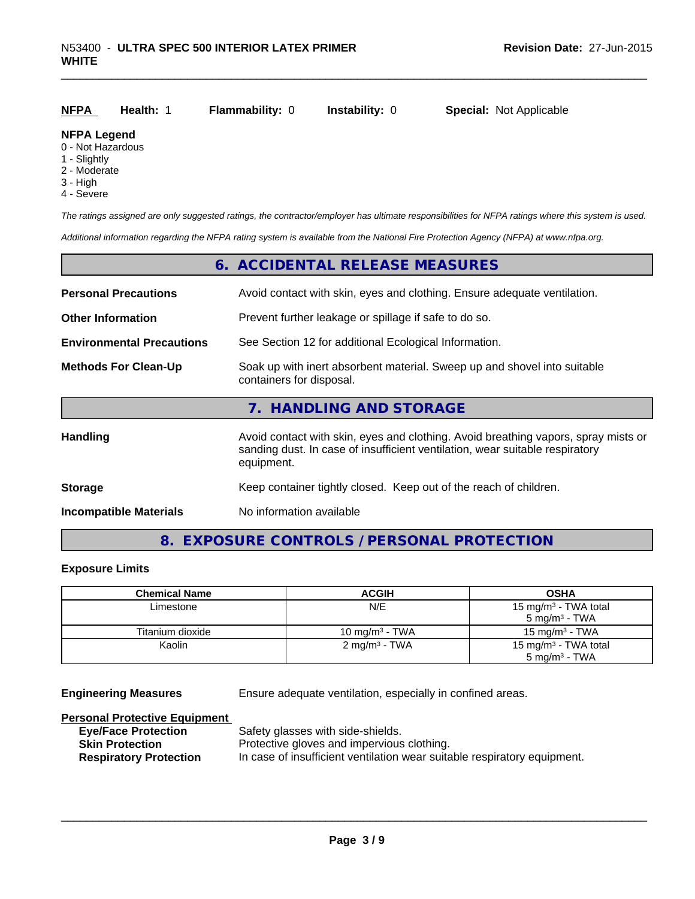| <b>NFPA</b> | <b>Health:</b> 1 | <b>Flammability: 0</b> | <b>Instability:</b> 0 | <b>Special: Not Applicable</b> |
|-------------|------------------|------------------------|-----------------------|--------------------------------|
|             |                  |                        |                       |                                |

#### **NFPA Legend**

- 0 Not Hazardous
- 1 Slightly
- 2 Moderate
- 3 High
- 4 Severe

*The ratings assigned are only suggested ratings, the contractor/employer has ultimate responsibilities for NFPA ratings where this system is used.*

*Additional information regarding the NFPA rating system is available from the National Fire Protection Agency (NFPA) at www.nfpa.org.*

|                                  | 6. ACCIDENTAL RELEASE MEASURES                                                                                                                                                   |
|----------------------------------|----------------------------------------------------------------------------------------------------------------------------------------------------------------------------------|
|                                  | Avoid contact with skin, eyes and clothing. Ensure adequate ventilation.                                                                                                         |
|                                  | Prevent further leakage or spillage if safe to do so.                                                                                                                            |
| <b>Environmental Precautions</b> | See Section 12 for additional Ecological Information.                                                                                                                            |
|                                  | Soak up with inert absorbent material. Sweep up and shovel into suitable<br>containers for disposal.                                                                             |
|                                  | 7. HANDLING AND STORAGE                                                                                                                                                          |
|                                  | Avoid contact with skin, eyes and clothing. Avoid breathing vapors, spray mists or<br>sanding dust. In case of insufficient ventilation, wear suitable respiratory<br>equipment. |
|                                  | Keep container tightly closed. Keep out of the reach of children.                                                                                                                |
|                                  | No information available                                                                                                                                                         |
|                                  |                                                                                                                                                                                  |

# **8. EXPOSURE CONTROLS / PERSONAL PROTECTION**

#### **Exposure Limits**

| <b>Chemical Name</b> | <b>ACGIH</b>             | <b>OSHA</b>                                                  |
|----------------------|--------------------------|--------------------------------------------------------------|
| Limestone            | N/E                      | 15 mg/m <sup>3</sup> - TWA total<br>$5 \text{ mg/m}^3$ - TWA |
| Titanium dioxide     | 10 mg/m $3$ - TWA        | 15 mg/m $3$ - TWA                                            |
| Kaolin               | $2 \text{ mq/m}^3$ - TWA | 15 mg/m <sup>3</sup> - TWA total<br>$5 \text{ mg/m}^3$ - TWA |

**Engineering Measures** Ensure adequate ventilation, especially in confined areas.

#### **Personal Protective Equipment**

| <b>Eye/Face Protection</b>    | Safety g  |
|-------------------------------|-----------|
| <b>Skin Protection</b>        | Protectiv |
| <b>Respiratory Protection</b> | In case o |

lasses with side-shields.  $v$ e gloves and impervious clothing. of insufficient ventilation wear suitable respiratory equipment.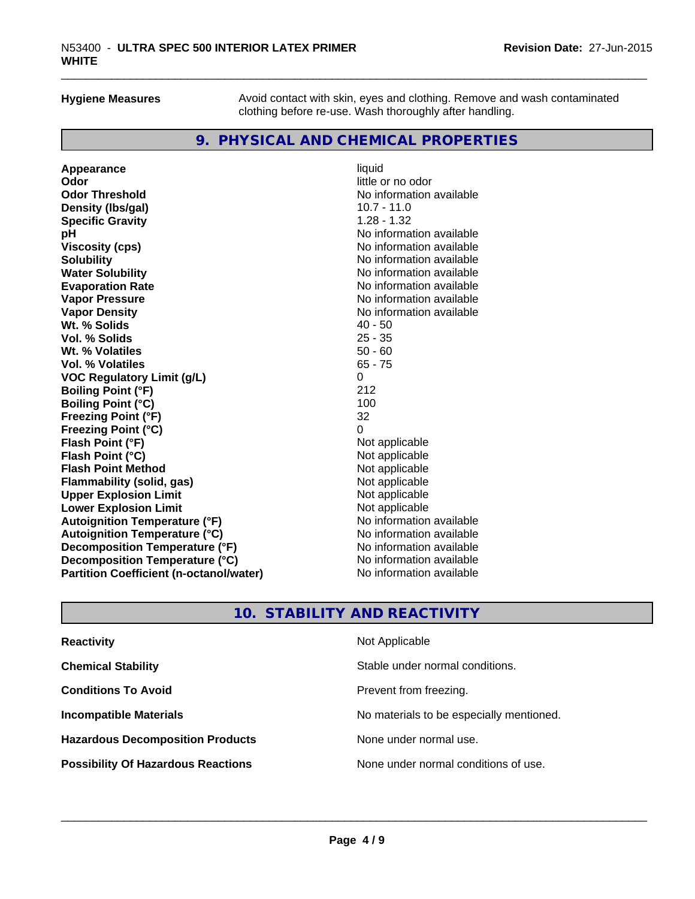**Hygiene Measures** Avoid contact with skin, eyes and clothing. Remove and wash contaminated clothing before re-use. Wash thoroughly after handling.

\_\_\_\_\_\_\_\_\_\_\_\_\_\_\_\_\_\_\_\_\_\_\_\_\_\_\_\_\_\_\_\_\_\_\_\_\_\_\_\_\_\_\_\_\_\_\_\_\_\_\_\_\_\_\_\_\_\_\_\_\_\_\_\_\_\_\_\_\_\_\_\_\_\_\_\_\_\_\_\_\_\_\_\_\_\_\_\_\_\_\_\_\_

# **9. PHYSICAL AND CHEMICAL PROPERTIES**

| Appearance                                     | liquid                   |
|------------------------------------------------|--------------------------|
| Odor                                           | little or no odor        |
| <b>Odor Threshold</b>                          | No information available |
| Density (Ibs/gal)                              | $10.7 - 11.0$            |
| <b>Specific Gravity</b>                        | $1.28 - 1.32$            |
| рH                                             | No information available |
| <b>Viscosity (cps)</b>                         | No information available |
| <b>Solubility</b>                              | No information available |
| <b>Water Solubility</b>                        | No information available |
| <b>Evaporation Rate</b>                        | No information available |
| <b>Vapor Pressure</b>                          | No information available |
| <b>Vapor Density</b>                           | No information available |
| Wt. % Solids                                   | $40 - 50$                |
| Vol. % Solids                                  | $25 - 35$                |
| Wt. % Volatiles                                | $50 - 60$                |
| Vol. % Volatiles                               | $65 - 75$                |
| <b>VOC Regulatory Limit (g/L)</b>              | 0                        |
| <b>Boiling Point (°F)</b>                      | 212                      |
| <b>Boiling Point (°C)</b>                      | 100                      |
| <b>Freezing Point (°F)</b>                     | 32                       |
| <b>Freezing Point (°C)</b>                     | $\Omega$                 |
| Flash Point (°F)                               | Not applicable           |
| Flash Point (°C)                               | Not applicable           |
| <b>Flash Point Method</b>                      | Not applicable           |
| <b>Flammability (solid, gas)</b>               | Not applicable           |
| <b>Upper Explosion Limit</b>                   | Not applicable           |
| <b>Lower Explosion Limit</b>                   | Not applicable           |
| <b>Autoignition Temperature (°F)</b>           | No information available |
| <b>Autoignition Temperature (°C)</b>           | No information available |
| Decomposition Temperature (°F)                 | No information available |
| Decomposition Temperature (°C)                 | No information available |
| <b>Partition Coefficient (n-octanol/water)</b> | No information available |

# **10. STABILITY AND REACTIVITY**

| <b>Reactivity</b>                         | Not Applicable                           |
|-------------------------------------------|------------------------------------------|
| <b>Chemical Stability</b>                 | Stable under normal conditions.          |
| <b>Conditions To Avoid</b>                | Prevent from freezing.                   |
| <b>Incompatible Materials</b>             | No materials to be especially mentioned. |
| <b>Hazardous Decomposition Products</b>   | None under normal use.                   |
| <b>Possibility Of Hazardous Reactions</b> | None under normal conditions of use.     |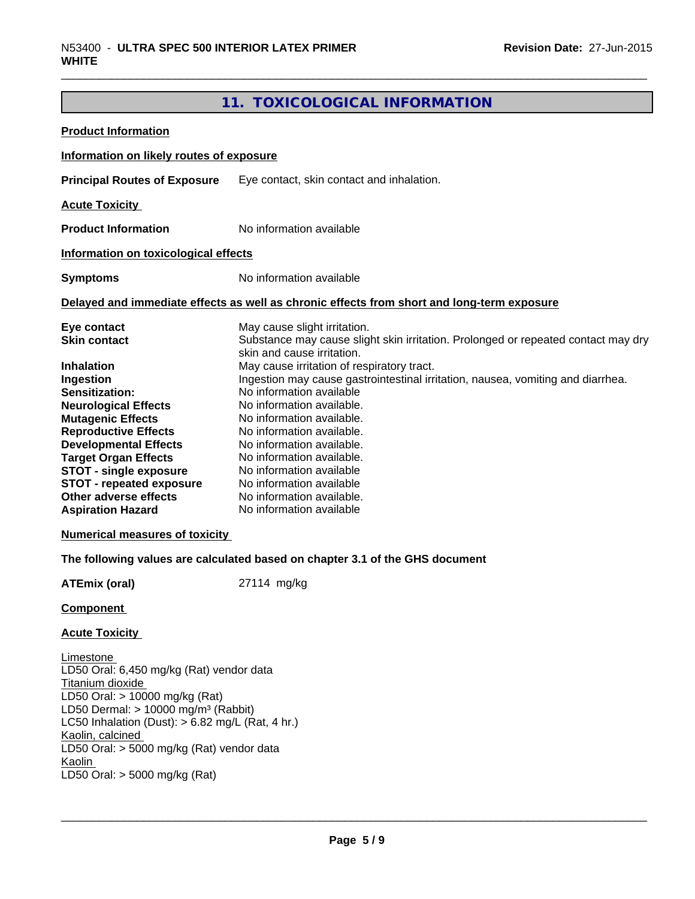# **11. TOXICOLOGICAL INFORMATION**

\_\_\_\_\_\_\_\_\_\_\_\_\_\_\_\_\_\_\_\_\_\_\_\_\_\_\_\_\_\_\_\_\_\_\_\_\_\_\_\_\_\_\_\_\_\_\_\_\_\_\_\_\_\_\_\_\_\_\_\_\_\_\_\_\_\_\_\_\_\_\_\_\_\_\_\_\_\_\_\_\_\_\_\_\_\_\_\_\_\_\_\_\_

| <b>Product Information</b>                                                                                                                                                                                                                                                                                                                                                                                        |                                                                                                                                                                                                                                                                                                                                                                                                                                                                                                                                                                                |
|-------------------------------------------------------------------------------------------------------------------------------------------------------------------------------------------------------------------------------------------------------------------------------------------------------------------------------------------------------------------------------------------------------------------|--------------------------------------------------------------------------------------------------------------------------------------------------------------------------------------------------------------------------------------------------------------------------------------------------------------------------------------------------------------------------------------------------------------------------------------------------------------------------------------------------------------------------------------------------------------------------------|
| Information on likely routes of exposure                                                                                                                                                                                                                                                                                                                                                                          |                                                                                                                                                                                                                                                                                                                                                                                                                                                                                                                                                                                |
| <b>Principal Routes of Exposure</b>                                                                                                                                                                                                                                                                                                                                                                               | Eye contact, skin contact and inhalation.                                                                                                                                                                                                                                                                                                                                                                                                                                                                                                                                      |
| <b>Acute Toxicity</b>                                                                                                                                                                                                                                                                                                                                                                                             |                                                                                                                                                                                                                                                                                                                                                                                                                                                                                                                                                                                |
| <b>Product Information</b>                                                                                                                                                                                                                                                                                                                                                                                        | No information available                                                                                                                                                                                                                                                                                                                                                                                                                                                                                                                                                       |
| Information on toxicological effects                                                                                                                                                                                                                                                                                                                                                                              |                                                                                                                                                                                                                                                                                                                                                                                                                                                                                                                                                                                |
| <b>Symptoms</b>                                                                                                                                                                                                                                                                                                                                                                                                   | No information available                                                                                                                                                                                                                                                                                                                                                                                                                                                                                                                                                       |
|                                                                                                                                                                                                                                                                                                                                                                                                                   | Delayed and immediate effects as well as chronic effects from short and long-term exposure                                                                                                                                                                                                                                                                                                                                                                                                                                                                                     |
| Eye contact<br><b>Skin contact</b><br><b>Inhalation</b><br>Ingestion<br>Sensitization:<br><b>Neurological Effects</b><br><b>Mutagenic Effects</b><br><b>Reproductive Effects</b><br><b>Developmental Effects</b><br><b>Target Organ Effects</b><br><b>STOT - single exposure</b><br><b>STOT - repeated exposure</b><br>Other adverse effects<br><b>Aspiration Hazard</b><br><b>Numerical measures of toxicity</b> | May cause slight irritation.<br>Substance may cause slight skin irritation. Prolonged or repeated contact may dry<br>skin and cause irritation.<br>May cause irritation of respiratory tract.<br>Ingestion may cause gastrointestinal irritation, nausea, vomiting and diarrhea.<br>No information available<br>No information available.<br>No information available.<br>No information available.<br>No information available.<br>No information available.<br>No information available<br>No information available<br>No information available.<br>No information available |
|                                                                                                                                                                                                                                                                                                                                                                                                                   | The following values are calculated based on chapter 3.1 of the GHS document                                                                                                                                                                                                                                                                                                                                                                                                                                                                                                   |
| <b>ATEmix (oral)</b>                                                                                                                                                                                                                                                                                                                                                                                              | 27114 mg/kg                                                                                                                                                                                                                                                                                                                                                                                                                                                                                                                                                                    |
| <b>Component</b>                                                                                                                                                                                                                                                                                                                                                                                                  |                                                                                                                                                                                                                                                                                                                                                                                                                                                                                                                                                                                |
| <b>Acute Toxicity</b>                                                                                                                                                                                                                                                                                                                                                                                             |                                                                                                                                                                                                                                                                                                                                                                                                                                                                                                                                                                                |
| Limestone<br>LD50 Oral: 6,450 mg/kg (Rat) vendor data<br>Titanium dioxide<br>LD50 Oral: > 10000 mg/kg (Rat)<br>LD50 Dermal: $> 10000$ mg/m <sup>3</sup> (Rabbit)<br>LC50 Inhalation (Dust): $> 6.82$ mg/L (Rat, 4 hr.)<br>Kaolin, calcined<br>LD50 Oral: > 5000 mg/kg (Rat) vendor data<br>Kaolin<br>LD50 Oral: > 5000 mg/kg (Rat)                                                                                |                                                                                                                                                                                                                                                                                                                                                                                                                                                                                                                                                                                |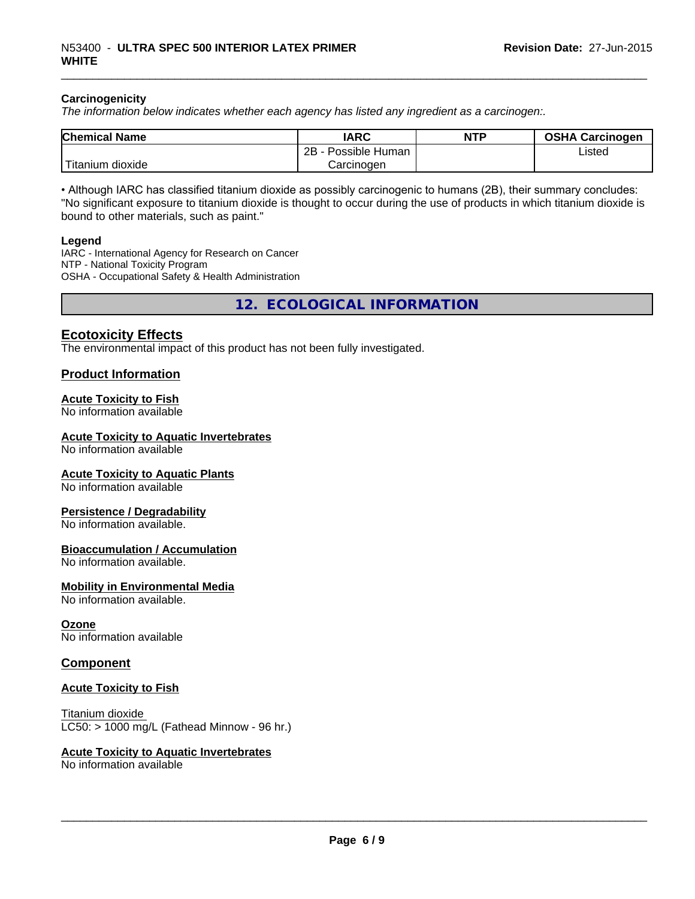#### **Carcinogenicity**

*The information below indicates whether each agency has listed any ingredient as a carcinogen:.*

| <b>Chemical Name</b>     | <b>IARC</b>          | <b>NTP</b> | <b>OSHA Carcinogen</b> |
|--------------------------|----------------------|------------|------------------------|
|                          | 2B<br>Possible Human |            | Listed                 |
| $-1$<br>Fitanium dioxide | Carcinoɑen           |            |                        |

\_\_\_\_\_\_\_\_\_\_\_\_\_\_\_\_\_\_\_\_\_\_\_\_\_\_\_\_\_\_\_\_\_\_\_\_\_\_\_\_\_\_\_\_\_\_\_\_\_\_\_\_\_\_\_\_\_\_\_\_\_\_\_\_\_\_\_\_\_\_\_\_\_\_\_\_\_\_\_\_\_\_\_\_\_\_\_\_\_\_\_\_\_

• Although IARC has classified titanium dioxide as possibly carcinogenic to humans (2B), their summary concludes: "No significant exposure to titanium dioxide is thought to occur during the use of products in which titanium dioxide is bound to other materials, such as paint."

#### **Legend**

IARC - International Agency for Research on Cancer NTP - National Toxicity Program OSHA - Occupational Safety & Health Administration

**12. ECOLOGICAL INFORMATION**

## **Ecotoxicity Effects**

The environmental impact of this product has not been fully investigated.

#### **Product Information**

#### **Acute Toxicity to Fish**

No information available

#### **Acute Toxicity to Aquatic Invertebrates**

No information available

#### **Acute Toxicity to Aquatic Plants**

No information available

#### **Persistence / Degradability**

No information available.

#### **Bioaccumulation / Accumulation**

No information available.

#### **Mobility in Environmental Media**

No information available.

#### **Ozone**

No information available

#### **Component**

#### **Acute Toxicity to Fish**

Titanium dioxide LC50: > 1000 mg/L (Fathead Minnow - 96 hr.)

#### **Acute Toxicity to Aquatic Invertebrates**

No information available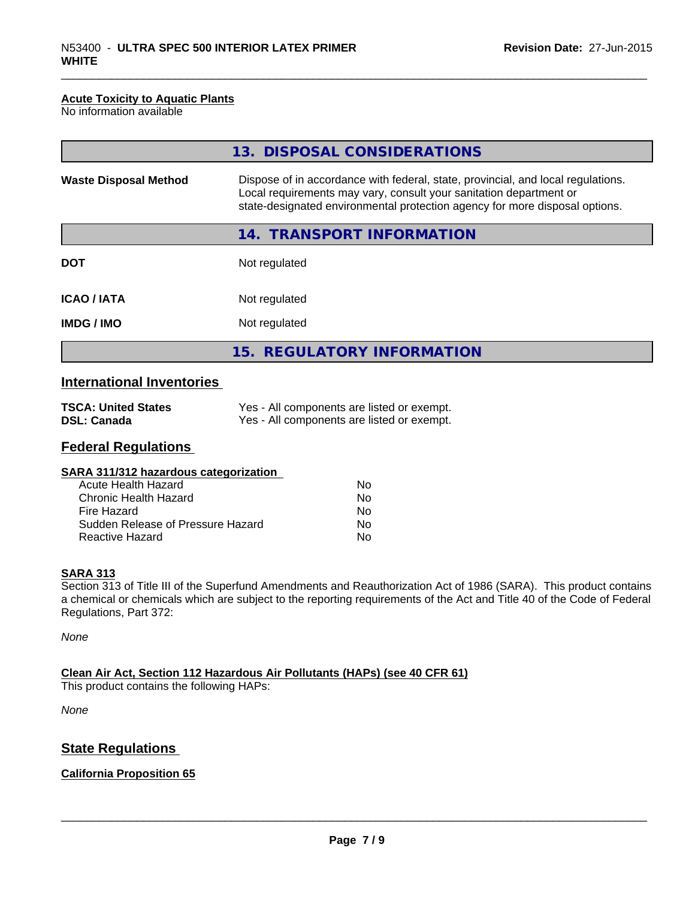#### **Acute Toxicity to Aquatic Plants**

No information available

|                                  | 13. DISPOSAL CONSIDERATIONS                                                                                                                                                                                                           |
|----------------------------------|---------------------------------------------------------------------------------------------------------------------------------------------------------------------------------------------------------------------------------------|
| <b>Waste Disposal Method</b>     | Dispose of in accordance with federal, state, provincial, and local regulations.<br>Local requirements may vary, consult your sanitation department or<br>state-designated environmental protection agency for more disposal options. |
|                                  | 14. TRANSPORT INFORMATION                                                                                                                                                                                                             |
| <b>DOT</b>                       | Not regulated                                                                                                                                                                                                                         |
| <b>ICAO / IATA</b>               | Not regulated                                                                                                                                                                                                                         |
| <b>IMDG / IMO</b>                | Not regulated                                                                                                                                                                                                                         |
|                                  | 15. REGULATORY INFORMATION                                                                                                                                                                                                            |
| <b>International Inventories</b> |                                                                                                                                                                                                                                       |

\_\_\_\_\_\_\_\_\_\_\_\_\_\_\_\_\_\_\_\_\_\_\_\_\_\_\_\_\_\_\_\_\_\_\_\_\_\_\_\_\_\_\_\_\_\_\_\_\_\_\_\_\_\_\_\_\_\_\_\_\_\_\_\_\_\_\_\_\_\_\_\_\_\_\_\_\_\_\_\_\_\_\_\_\_\_\_\_\_\_\_\_\_

| <b>TSCA: United States</b> | Yes - All components are listed or exempt. |
|----------------------------|--------------------------------------------|
| <b>DSL: Canada</b>         | Yes - All components are listed or exempt. |

# **Federal Regulations**

| SARA 311/312 hazardous categorization |    |  |
|---------------------------------------|----|--|
| Acute Health Hazard                   | Nο |  |
| Chronic Health Hazard                 | No |  |
| Fire Hazard                           | Nο |  |
| Sudden Release of Pressure Hazard     | Nο |  |
| Reactive Hazard                       | No |  |
|                                       |    |  |

#### **SARA 313**

Section 313 of Title III of the Superfund Amendments and Reauthorization Act of 1986 (SARA). This product contains a chemical or chemicals which are subject to the reporting requirements of the Act and Title 40 of the Code of Federal Regulations, Part 372:

*None*

### **Clean Air Act, Section 112 Hazardous Air Pollutants (HAPs) (see 40 CFR 61)**

This product contains the following HAPs:

*None*

# **State Regulations**

### **California Proposition 65**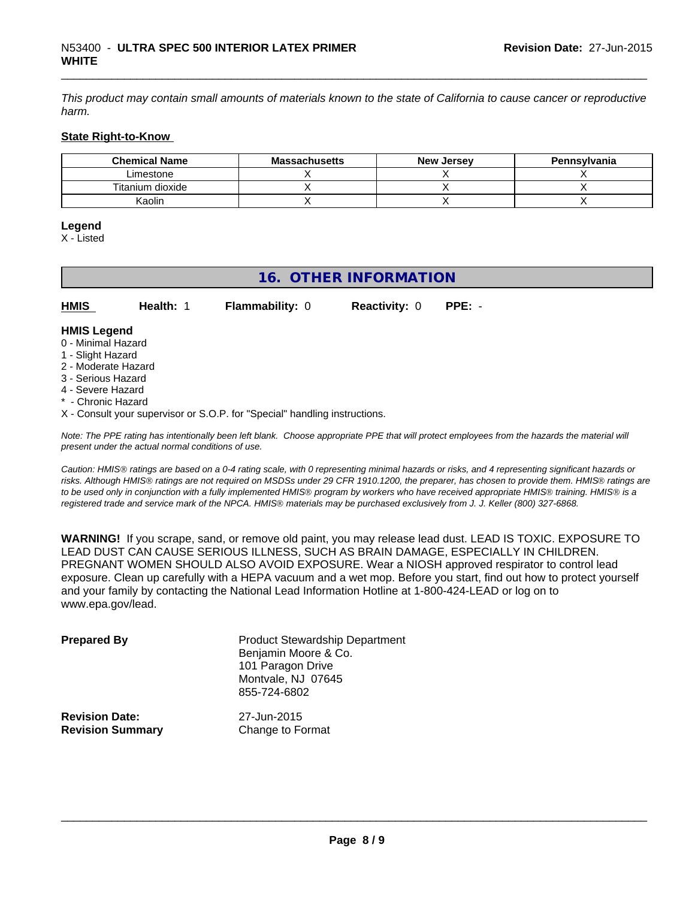*This product may contain small amounts of materials known to the state of California to cause cancer or reproductive harm.*

\_\_\_\_\_\_\_\_\_\_\_\_\_\_\_\_\_\_\_\_\_\_\_\_\_\_\_\_\_\_\_\_\_\_\_\_\_\_\_\_\_\_\_\_\_\_\_\_\_\_\_\_\_\_\_\_\_\_\_\_\_\_\_\_\_\_\_\_\_\_\_\_\_\_\_\_\_\_\_\_\_\_\_\_\_\_\_\_\_\_\_\_\_

#### **State Right-to-Know**

| <b>Chemical Name</b> | <b>Massachusetts</b> | <b>New Jersey</b> | Pennsylvania |
|----------------------|----------------------|-------------------|--------------|
| Limestone            |                      |                   |              |
| Titanium dioxide     |                      |                   |              |
| Kaolin               |                      |                   |              |

## **Legend**

X - Listed

| 16. OTHER INFORMATION                                                                                                                                 |           |                        |                      |          |  |
|-------------------------------------------------------------------------------------------------------------------------------------------------------|-----------|------------------------|----------------------|----------|--|
| <b>HMIS</b>                                                                                                                                           | Health: 1 | <b>Flammability: 0</b> | <b>Reactivity: 0</b> | $PPE: -$ |  |
| <b>HMIS Legend</b><br>0 - Minimal Hazard<br>1 - Slight Hazard<br>2 - Moderate Hazard<br>3 - Serious Hazard<br>4 - Severe Hazard<br>* - Chronic Hazard |           |                        |                      |          |  |

X - Consult your supervisor or S.O.P. for "Special" handling instructions.

*Note: The PPE rating has intentionally been left blank. Choose appropriate PPE that will protect employees from the hazards the material will present under the actual normal conditions of use.*

*Caution: HMISÒ ratings are based on a 0-4 rating scale, with 0 representing minimal hazards or risks, and 4 representing significant hazards or risks. Although HMISÒ ratings are not required on MSDSs under 29 CFR 1910.1200, the preparer, has chosen to provide them. HMISÒ ratings are to be used only in conjunction with a fully implemented HMISÒ program by workers who have received appropriate HMISÒ training. HMISÒ is a registered trade and service mark of the NPCA. HMISÒ materials may be purchased exclusively from J. J. Keller (800) 327-6868.*

**WARNING!** If you scrape, sand, or remove old paint, you may release lead dust. LEAD IS TOXIC. EXPOSURE TO LEAD DUST CAN CAUSE SERIOUS ILLNESS, SUCH AS BRAIN DAMAGE, ESPECIALLY IN CHILDREN. PREGNANT WOMEN SHOULD ALSO AVOID EXPOSURE. Wear a NIOSH approved respirator to control lead exposure. Clean up carefully with a HEPA vacuum and a wet mop. Before you start, find out how to protect yourself and your family by contacting the National Lead Information Hotline at 1-800-424-LEAD or log on to www.epa.gov/lead.

| <b>Prepared By</b>                               | <b>Product Stewardship Department</b><br>Benjamin Moore & Co.<br>101 Paragon Drive<br>Montvale, NJ 07645<br>855-724-6802 |  |
|--------------------------------------------------|--------------------------------------------------------------------------------------------------------------------------|--|
| <b>Revision Date:</b><br><b>Revision Summary</b> | 27-Jun-2015<br>Change to Format                                                                                          |  |